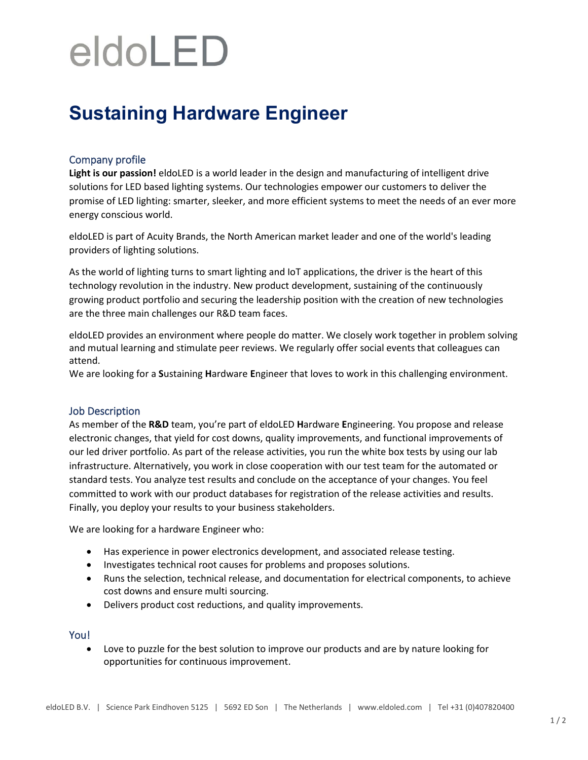# eldoLED

## **Sustaining Hardware Engineer**

### Company profile

**Light is our passion!** eldoLED is a world leader in the design and manufacturing of intelligent drive solutions for LED based lighting systems. Our technologies empower our customers to deliver the promise of LED lighting: smarter, sleeker, and more efficient systems to meet the needs of an ever more energy conscious world.

eldoLED is part of Acuity Brands, the North American market leader and one of the world's leading providers of lighting solutions.

As the world of lighting turns to smart lighting and IoT applications, the driver is the heart of this technology revolution in the industry. New product development, sustaining of the continuously growing product portfolio and securing the leadership position with the creation of new technologies are the three main challenges our R&D team faces.

eldoLED provides an environment where people do matter. We closely work together in problem solving and mutual learning and stimulate peer reviews. We regularly offer social events that colleagues can attend.

We are looking for a **S**ustaining **H**ardware **E**ngineer that loves to work in this challenging environment.

### Job Description

As member of the **R&D** team, you're part of eldoLED **H**ardware **E**ngineering. You propose and release electronic changes, that yield for cost downs, quality improvements, and functional improvements of our led driver portfolio. As part of the release activities, you run the white box tests by using our lab infrastructure. Alternatively, you work in close cooperation with our test team for the automated or standard tests. You analyze test results and conclude on the acceptance of your changes. You feel committed to work with our product databases for registration of the release activities and results. Finally, you deploy your results to your business stakeholders.

We are looking for a hardware Engineer who:

- Has experience in power electronics development, and associated release testing.
- Investigates technical root causes for problems and proposes solutions.
- Runs the selection, technical release, and documentation for electrical components, to achieve cost downs and ensure multi sourcing.
- Delivers product cost reductions, and quality improvements.

#### You!

• Love to puzzle for the best solution to improve our products and are by nature looking for opportunities for continuous improvement.